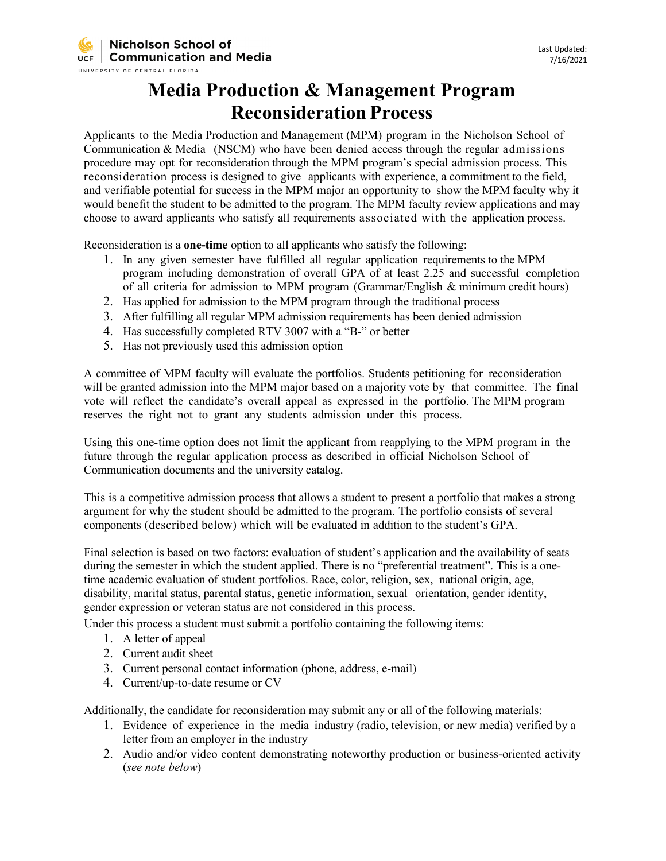## **Media Production & Management Program Reconsideration Process**

Applicants to the Media Production and Management (MPM) program in the Nicholson School of Communication  $& Media \text{ (NSCM)}$  who have been denied access through the regular admissions procedure may opt for reconsideration through the MPM program's special admission process. This reconsideration process is designed to give applicants with experience, a commitment to the field, and verifiable potential for success in the MPM major an opportunity to show the MPM faculty why it would benefit the student to be admitted to the program. The MPM faculty review applications and may choose to award applicants who satisfy all requirements associated with the application process.

Reconsideration is a **one-time** option to all applicants who satisfy the following:

- 1. In any given semester have fulfilled all regular application requirements to the MPM program including demonstration of overall GPA of at least 2.25 and successful completion of all criteria for admission to MPM program (Grammar/English & minimum credit hours)
- 2. Has applied for admission to the MPM program through the traditional process
- 3. After fulfilling all regular MPM admission requirements has been denied admission
- 4. Has successfully completed RTV 3007 with a "B-" or better
- 5. Has not previously used this admission option

A committee of MPM faculty will evaluate the portfolios. Students petitioning for reconsideration will be granted admission into the MPM major based on a majority vote by that committee. The final vote will reflect the candidate's overall appeal as expressed in the portfolio. The MPM program reserves the right not to grant any students admission under this process.

Using this one-time option does not limit the applicant from reapplying to the MPM program in the future through the regular application process as described in official Nicholson School of Communication documents and the university catalog.

This is a competitive admission process that allows a student to present a portfolio that makes a strong argument for why the student should be admitted to the program. The portfolio consists of several components (described below) which will be evaluated in addition to the student's GPA.

Final selection is based on two factors: evaluation of student's application and the availability of seats during the semester in which the student applied. There is no "preferential treatment". This is a onetime academic evaluation of student portfolios. Race, color, religion, sex, national origin, age, disability, marital status, parental status, genetic information, sexual orientation, gender identity, gender expression or veteran status are not considered in this process.

Under this process a student must submit a portfolio containing the following items:

- 1. A letter of appeal
- 2. Current audit sheet
- 3. Current personal contact information (phone, address, e-mail)
- 4. Current/up-to-date resume or CV

Additionally, the candidate for reconsideration may submit any or all of the following materials:

- 1. Evidence of experience in the media industry (radio, television, or new media) verified by a letter from an employer in the industry
- 2. Audio and/or video content demonstrating noteworthy production or business-oriented activity (*see note below*)